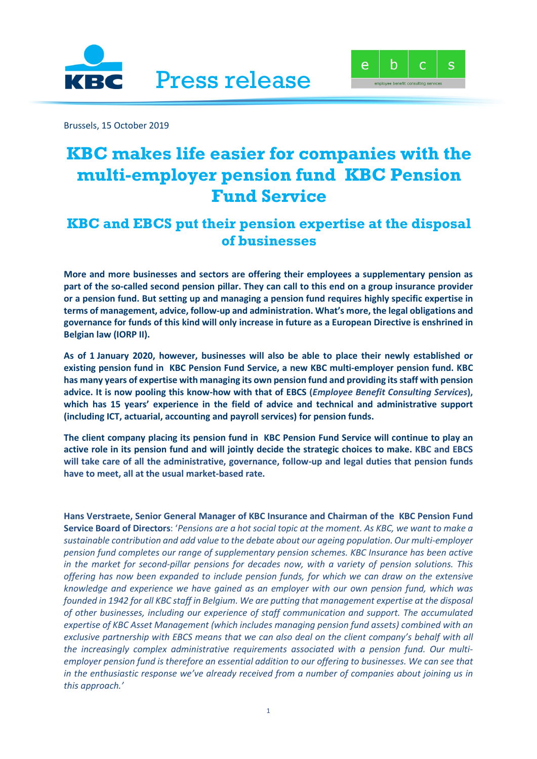



Brussels, 15 October 2019

## **KBC makes life easier for companies with the multi-employer pension fund KBC Pension Fund Service**

## **KBC and EBCS put their pension expertise at the disposal of businesses**

**More and more businesses and sectors are offering their employees a supplementary pension as part of the so-called second pension pillar. They can call to this end on a group insurance provider or a pension fund. But setting up and managing a pension fund requires highly specific expertise in terms of management, advice, follow-up and administration. What's more, the legal obligations and governance for funds of this kind will only increase in future as a European Directive is enshrined in Belgian law (IORP II).**

**As of 1 January 2020, however, businesses will also be able to place their newly established or existing pension fund in KBC Pension Fund Service, a new KBC multi-employer pension fund. KBC has many years of expertise with managing its own pension fund and providing its staff with pension advice. It is now pooling this know-how with that of EBCS (***Employee Benefit Consulting Services***), which has 15 years' experience in the field of advice and technical and administrative support (including ICT, actuarial, accounting and payroll services) for pension funds.**

**The client company placing its pension fund in KBC Pension Fund Service will continue to play an active role in its pension fund and will jointly decide the strategic choices to make. KBC and EBCS will take care of all the administrative, governance, follow-up and legal duties that pension funds have to meet, all at the usual market-based rate.**

**Hans Verstraete, Senior General Manager of KBC Insurance and Chairman of the KBC Pension Fund Service Board of Directors**: '*Pensions are a hot social topic at the moment. As KBC, we want to make a sustainable contribution and add value to the debate about our ageing population*. *Our multi-employer pension fund completes our range of supplementary pension schemes. KBC Insurance has been active in the market for second-pillar pensions for decades now, with a variety of pension solutions. This offering has now been expanded to include pension funds, for which we can draw on the extensive knowledge and experience we have gained as an employer with our own pension fund, which was founded in 1942 for all KBC staff in Belgium. We are putting that management expertise at the disposal of other businesses, including our experience of staff communication and support. The accumulated expertise of KBC Asset Management (which includes managing pension fund assets) combined with an exclusive partnership with EBCS means that we can also deal on the client company's behalf with all the increasingly complex administrative requirements associated with a pension fund. Our multiemployer pension fund is therefore an essential addition to our offering to businesses. We can see that in the enthusiastic response we've already received from a number of companies about joining us in this approach.'*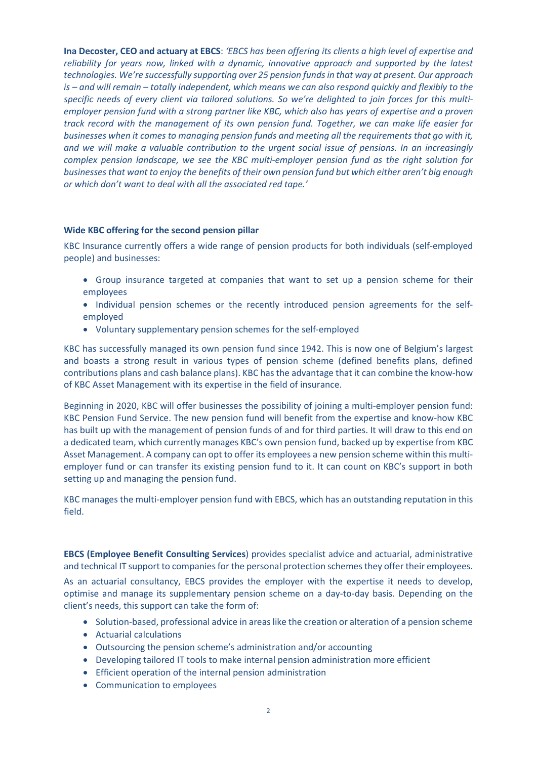**Ina Decoster, CEO and actuary at EBCS**: *'EBCS has been offering its clients a high level of expertise and reliability for years now, linked with a dynamic, innovative approach and supported by the latest technologies. We're successfully supporting over 25 pension funds in that way at present. Our approach is – and will remain – totally independent, which means we can also respond quickly and flexibly to the specific needs of every client via tailored solutions. So we're delighted to join forces for this multiemployer pension fund with a strong partner like KBC, which also has years of expertise and a proven track record with the management of its own pension fund. Together, we can make life easier for businesses when it comes to managing pension funds and meeting all the requirements that go with it, and we will make a valuable contribution to the urgent social issue of pensions. In an increasingly complex pension landscape, we see the KBC multi-employer pension fund as the right solution for businesses that want to enjoy the benefits of their own pension fund but which either aren't big enough or which don't want to deal with all the associated red tape.'*

## **Wide KBC offering for the second pension pillar**

KBC Insurance currently offers a wide range of pension products for both individuals (self-employed people) and businesses:

- Group insurance targeted at companies that want to set up a pension scheme for their employees
- Individual pension schemes or the recently introduced pension agreements for the selfemployed
- Voluntary supplementary pension schemes for the self-employed

KBC has successfully managed its own pension fund since 1942. This is now one of Belgium's largest and boasts a strong result in various types of pension scheme (defined benefits plans, defined contributions plans and cash balance plans). KBC has the advantage that it can combine the know-how of KBC Asset Management with its expertise in the field of insurance.

Beginning in 2020, KBC will offer businesses the possibility of joining a multi-employer pension fund: KBC Pension Fund Service. The new pension fund will benefit from the expertise and know-how KBC has built up with the management of pension funds of and for third parties. It will draw to this end on a dedicated team, which currently manages KBC's own pension fund, backed up by expertise from KBC Asset Management. A company can opt to offer its employees a new pension scheme within this multiemployer fund or can transfer its existing pension fund to it. It can count on KBC's support in both setting up and managing the pension fund.

KBC manages the multi-employer pension fund with EBCS, which has an outstanding reputation in this field.

**EBCS (Employee Benefit Consulting Services**) provides specialist advice and actuarial, administrative and technical IT support to companies for the personal protection schemes they offer their employees.

As an actuarial consultancy, EBCS provides the employer with the expertise it needs to develop, optimise and manage its supplementary pension scheme on a day-to-day basis. Depending on the client's needs, this support can take the form of:

- Solution-based, professional advice in areas like the creation or alteration of a pension scheme
- Actuarial calculations
- Outsourcing the pension scheme's administration and/or accounting
- Developing tailored IT tools to make internal pension administration more efficient
- Efficient operation of the internal pension administration
- Communication to employees